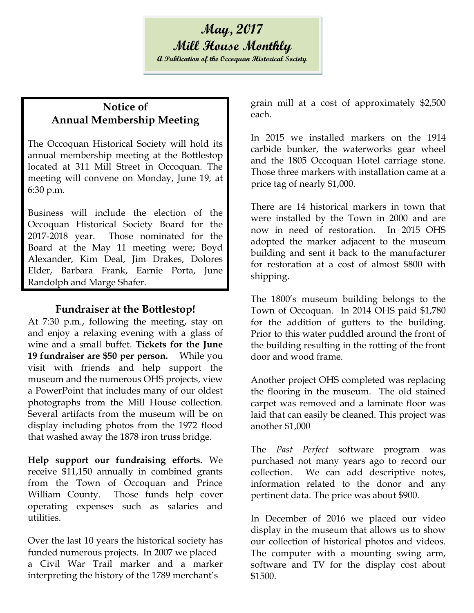## **Notice of Annual Membership Meeting**

The Occoquan Historical Society will hold its annual membership meeting at the Bottlestop located at 311 Mill Street in Occoquan. The meeting will convene on Monday, June 19, at 6:30 p.m.

Business will include the election of the Occoquan Historical Society Board for the 2017-2018 year. Those nominated for the Board at the May 11 meeting were; Boyd Alexander, Kim Deal, Jim Drakes, Dolores Elder, Barbara Frank, Earnie Porta, June Randolph and Marge Shafer.

## **Fundraiser at the Bottlestop!**

At 7:30 p.m., following the meeting, stay on and enjoy a relaxing evening with a glass of wine and a small buffet. **Tickets for the June 19 fundraiser are \$50 per person.** While you visit with friends and help support the museum and the numerous OHS projects, view a PowerPoint that includes many of our oldest photographs from the Mill House collection. Several artifacts from the museum will be on display including photos from the 1972 flood that washed away the 1878 iron truss bridge.

**Help support our fundraising efforts.** We receive \$11,150 annually in combined grants from the Town of Occoquan and Prince William County. Those funds help cover operating expenses such as salaries and utilities.

Over the last 10 years the historical society has funded numerous projects. In 2007 we placed a Civil War Trail marker and a marker interpreting the history of the 1789 merchant's

grain mill at a cost of approximately \$2,500 each.

In 2015 we installed markers on the 1914 carbide bunker, the waterworks gear wheel and the 1805 Occoquan Hotel carriage stone. Those three markers with installation came at a price tag of nearly \$1,000.

There are 14 historical markers in town that were installed by the Town in 2000 and are now in need of restoration. In 2015 OHS adopted the marker adjacent to the museum building and sent it back to the manufacturer for restoration at a cost of almost \$800 with shipping.

The 1800's museum building belongs to the Town of Occoquan. In 2014 OHS paid \$1,780 for the addition of gutters to the building. Prior to this water puddled around the front of the building resulting in the rotting of the front door and wood frame.

Another project OHS completed was replacing the flooring in the museum. The old stained carpet was removed and a laminate floor was laid that can easily be cleaned. This project was another \$1,000

The *Past Perfect* software program was purchased not many years ago to record our collection. We can add descriptive notes, information related to the donor and any pertinent data. The price was about \$900.

In December of 2016 we placed our video display in the museum that allows us to show our collection of historical photos and videos. The computer with a mounting swing arm, software and TV for the display cost about \$1500.